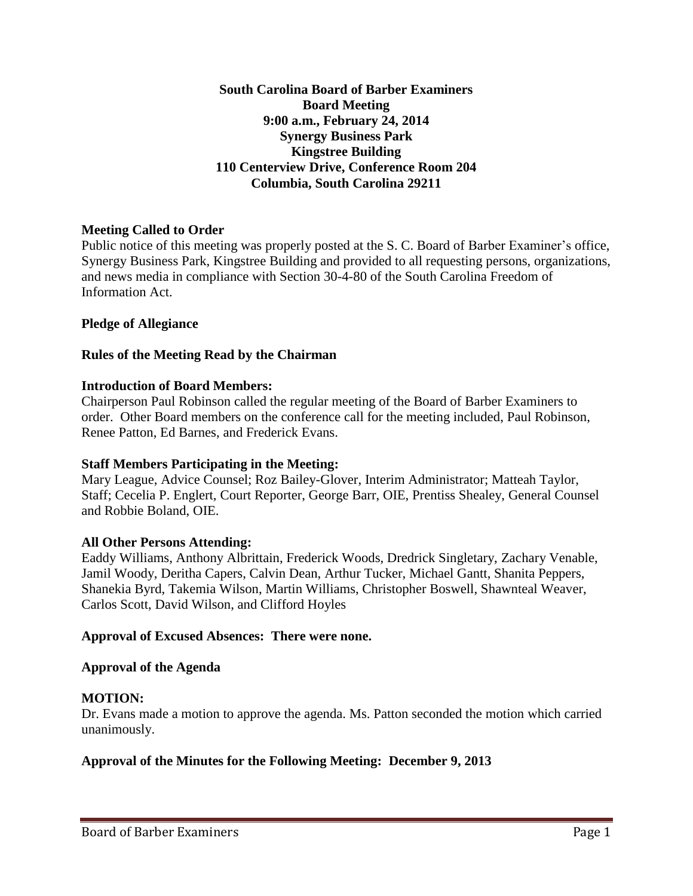**South Carolina Board of Barber Examiners Board Meeting 9:00 a.m., February 24, 2014 Synergy Business Park Kingstree Building 110 Centerview Drive, Conference Room 204 Columbia, South Carolina 29211**

## **Meeting Called to Order**

Public notice of this meeting was properly posted at the S. C. Board of Barber Examiner's office, Synergy Business Park, Kingstree Building and provided to all requesting persons, organizations, and news media in compliance with Section 30-4-80 of the South Carolina Freedom of Information Act.

### **Pledge of Allegiance**

### **Rules of the Meeting Read by the Chairman**

### **Introduction of Board Members:**

Chairperson Paul Robinson called the regular meeting of the Board of Barber Examiners to order. Other Board members on the conference call for the meeting included, Paul Robinson, Renee Patton, Ed Barnes, and Frederick Evans.

### **Staff Members Participating in the Meeting:**

Mary League, Advice Counsel; Roz Bailey-Glover, Interim Administrator; Matteah Taylor, Staff; Cecelia P. Englert, Court Reporter, George Barr, OIE, Prentiss Shealey, General Counsel and Robbie Boland, OIE.

### **All Other Persons Attending:**

Eaddy Williams, Anthony Albrittain, Frederick Woods, Dredrick Singletary, Zachary Venable, Jamil Woody, Deritha Capers, Calvin Dean, Arthur Tucker, Michael Gantt, Shanita Peppers, Shanekia Byrd, Takemia Wilson, Martin Williams, Christopher Boswell, Shawnteal Weaver, Carlos Scott, David Wilson, and Clifford Hoyles

### **Approval of Excused Absences: There were none.**

### **Approval of the Agenda**

## **MOTION:**

Dr. Evans made a motion to approve the agenda. Ms. Patton seconded the motion which carried unanimously.

## **Approval of the Minutes for the Following Meeting: December 9, 2013**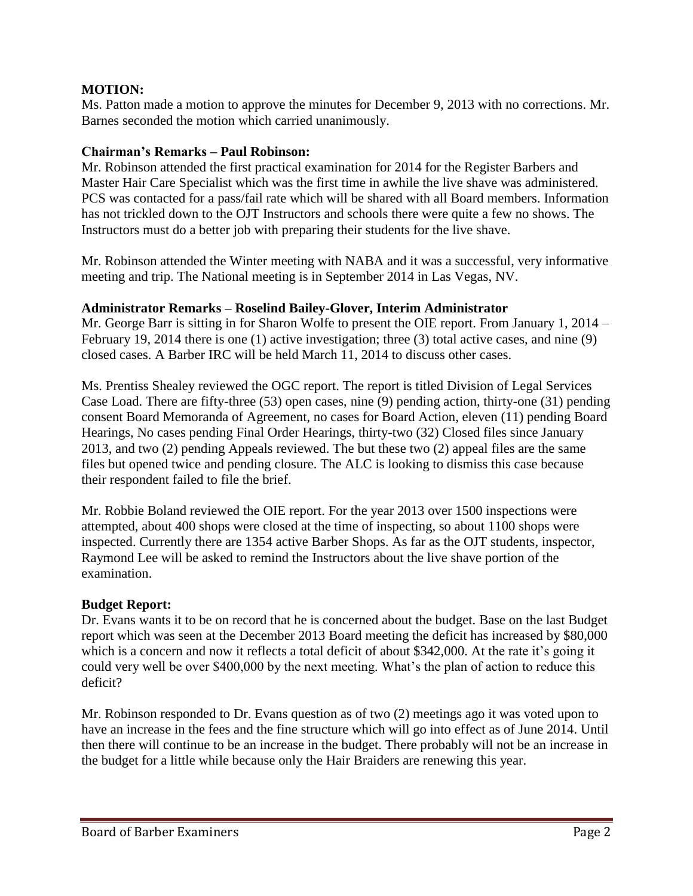Ms. Patton made a motion to approve the minutes for December 9, 2013 with no corrections. Mr. Barnes seconded the motion which carried unanimously.

## **Chairman's Remarks – Paul Robinson:**

Mr. Robinson attended the first practical examination for 2014 for the Register Barbers and Master Hair Care Specialist which was the first time in awhile the live shave was administered. PCS was contacted for a pass/fail rate which will be shared with all Board members. Information has not trickled down to the OJT Instructors and schools there were quite a few no shows. The Instructors must do a better job with preparing their students for the live shave.

Mr. Robinson attended the Winter meeting with NABA and it was a successful, very informative meeting and trip. The National meeting is in September 2014 in Las Vegas, NV.

### **Administrator Remarks – Roselind Bailey-Glover, Interim Administrator**

Mr. George Barr is sitting in for Sharon Wolfe to present the OIE report. From January 1, 2014 – February 19, 2014 there is one (1) active investigation; three (3) total active cases, and nine (9) closed cases. A Barber IRC will be held March 11, 2014 to discuss other cases.

Ms. Prentiss Shealey reviewed the OGC report. The report is titled Division of Legal Services Case Load. There are fifty-three (53) open cases, nine (9) pending action, thirty-one (31) pending consent Board Memoranda of Agreement, no cases for Board Action, eleven (11) pending Board Hearings, No cases pending Final Order Hearings, thirty-two (32) Closed files since January 2013, and two (2) pending Appeals reviewed. The but these two (2) appeal files are the same files but opened twice and pending closure. The ALC is looking to dismiss this case because their respondent failed to file the brief.

Mr. Robbie Boland reviewed the OIE report. For the year 2013 over 1500 inspections were attempted, about 400 shops were closed at the time of inspecting, so about 1100 shops were inspected. Currently there are 1354 active Barber Shops. As far as the OJT students, inspector, Raymond Lee will be asked to remind the Instructors about the live shave portion of the examination.

## **Budget Report:**

Dr. Evans wants it to be on record that he is concerned about the budget. Base on the last Budget report which was seen at the December 2013 Board meeting the deficit has increased by \$80,000 which is a concern and now it reflects a total deficit of about \$342,000. At the rate it's going it could very well be over \$400,000 by the next meeting. What's the plan of action to reduce this deficit?

Mr. Robinson responded to Dr. Evans question as of two (2) meetings ago it was voted upon to have an increase in the fees and the fine structure which will go into effect as of June 2014. Until then there will continue to be an increase in the budget. There probably will not be an increase in the budget for a little while because only the Hair Braiders are renewing this year.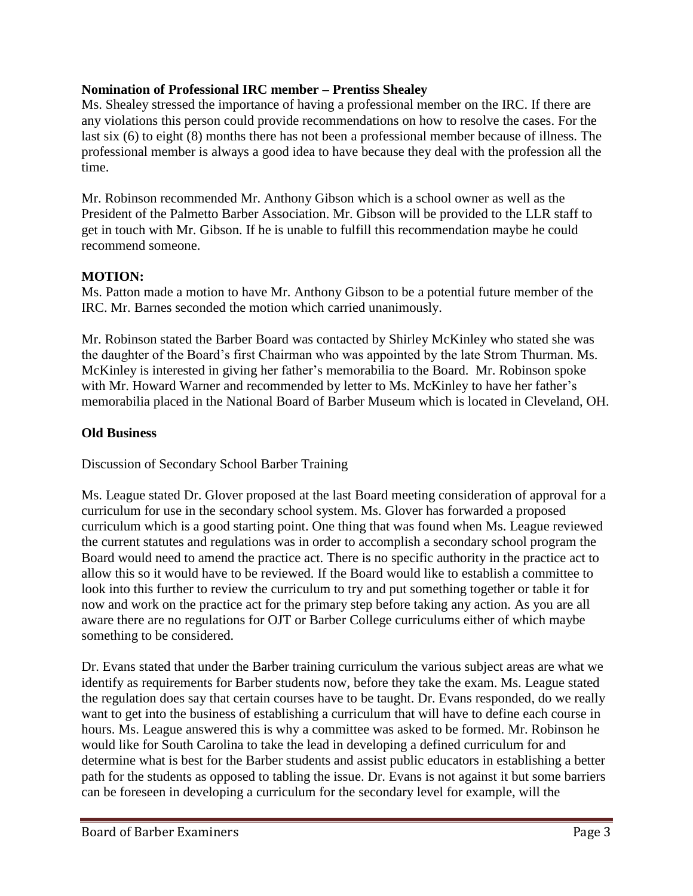## **Nomination of Professional IRC member – Prentiss Shealey**

Ms. Shealey stressed the importance of having a professional member on the IRC. If there are any violations this person could provide recommendations on how to resolve the cases. For the last six (6) to eight (8) months there has not been a professional member because of illness. The professional member is always a good idea to have because they deal with the profession all the time.

Mr. Robinson recommended Mr. Anthony Gibson which is a school owner as well as the President of the Palmetto Barber Association. Mr. Gibson will be provided to the LLR staff to get in touch with Mr. Gibson. If he is unable to fulfill this recommendation maybe he could recommend someone.

## **MOTION:**

Ms. Patton made a motion to have Mr. Anthony Gibson to be a potential future member of the IRC. Mr. Barnes seconded the motion which carried unanimously.

Mr. Robinson stated the Barber Board was contacted by Shirley McKinley who stated she was the daughter of the Board's first Chairman who was appointed by the late Strom Thurman. Ms. McKinley is interested in giving her father's memorabilia to the Board. Mr. Robinson spoke with Mr. Howard Warner and recommended by letter to Ms. McKinley to have her father's memorabilia placed in the National Board of Barber Museum which is located in Cleveland, OH.

### **Old Business**

Discussion of Secondary School Barber Training

Ms. League stated Dr. Glover proposed at the last Board meeting consideration of approval for a curriculum for use in the secondary school system. Ms. Glover has forwarded a proposed curriculum which is a good starting point. One thing that was found when Ms. League reviewed the current statutes and regulations was in order to accomplish a secondary school program the Board would need to amend the practice act. There is no specific authority in the practice act to allow this so it would have to be reviewed. If the Board would like to establish a committee to look into this further to review the curriculum to try and put something together or table it for now and work on the practice act for the primary step before taking any action. As you are all aware there are no regulations for OJT or Barber College curriculums either of which maybe something to be considered.

Dr. Evans stated that under the Barber training curriculum the various subject areas are what we identify as requirements for Barber students now, before they take the exam. Ms. League stated the regulation does say that certain courses have to be taught. Dr. Evans responded, do we really want to get into the business of establishing a curriculum that will have to define each course in hours. Ms. League answered this is why a committee was asked to be formed. Mr. Robinson he would like for South Carolina to take the lead in developing a defined curriculum for and determine what is best for the Barber students and assist public educators in establishing a better path for the students as opposed to tabling the issue. Dr. Evans is not against it but some barriers can be foreseen in developing a curriculum for the secondary level for example, will the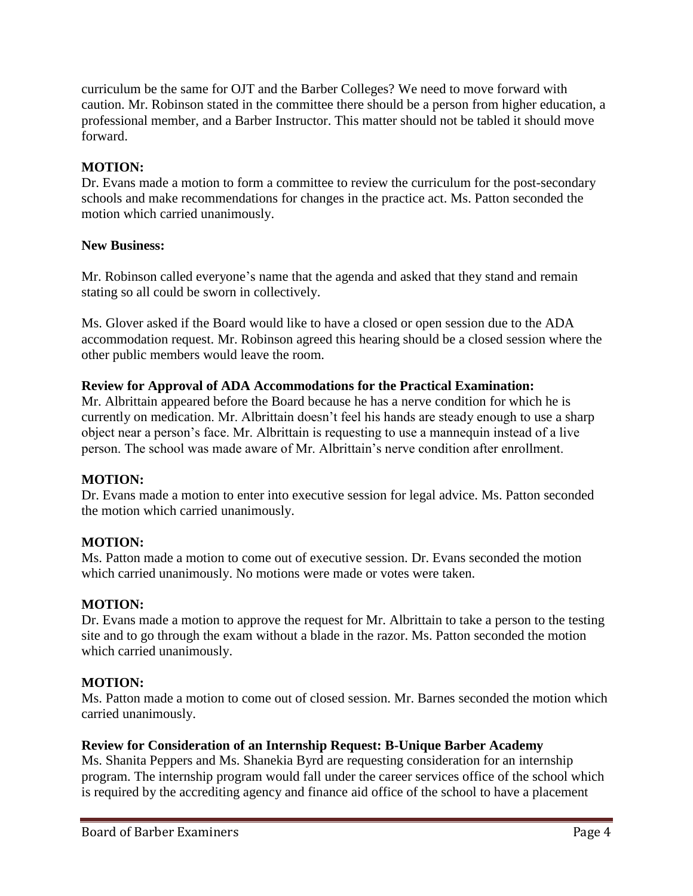curriculum be the same for OJT and the Barber Colleges? We need to move forward with caution. Mr. Robinson stated in the committee there should be a person from higher education, a professional member, and a Barber Instructor. This matter should not be tabled it should move forward.

## **MOTION:**

Dr. Evans made a motion to form a committee to review the curriculum for the post-secondary schools and make recommendations for changes in the practice act. Ms. Patton seconded the motion which carried unanimously.

## **New Business:**

Mr. Robinson called everyone's name that the agenda and asked that they stand and remain stating so all could be sworn in collectively.

Ms. Glover asked if the Board would like to have a closed or open session due to the ADA accommodation request. Mr. Robinson agreed this hearing should be a closed session where the other public members would leave the room.

## **Review for Approval of ADA Accommodations for the Practical Examination:**

Mr. Albrittain appeared before the Board because he has a nerve condition for which he is currently on medication. Mr. Albrittain doesn't feel his hands are steady enough to use a sharp object near a person's face. Mr. Albrittain is requesting to use a mannequin instead of a live person. The school was made aware of Mr. Albrittain's nerve condition after enrollment.

## **MOTION:**

Dr. Evans made a motion to enter into executive session for legal advice. Ms. Patton seconded the motion which carried unanimously.

## **MOTION:**

Ms. Patton made a motion to come out of executive session. Dr. Evans seconded the motion which carried unanimously. No motions were made or votes were taken.

### **MOTION:**

Dr. Evans made a motion to approve the request for Mr. Albrittain to take a person to the testing site and to go through the exam without a blade in the razor. Ms. Patton seconded the motion which carried unanimously.

## **MOTION:**

Ms. Patton made a motion to come out of closed session. Mr. Barnes seconded the motion which carried unanimously.

### **Review for Consideration of an Internship Request: B-Unique Barber Academy**

Ms. Shanita Peppers and Ms. Shanekia Byrd are requesting consideration for an internship program. The internship program would fall under the career services office of the school which is required by the accrediting agency and finance aid office of the school to have a placement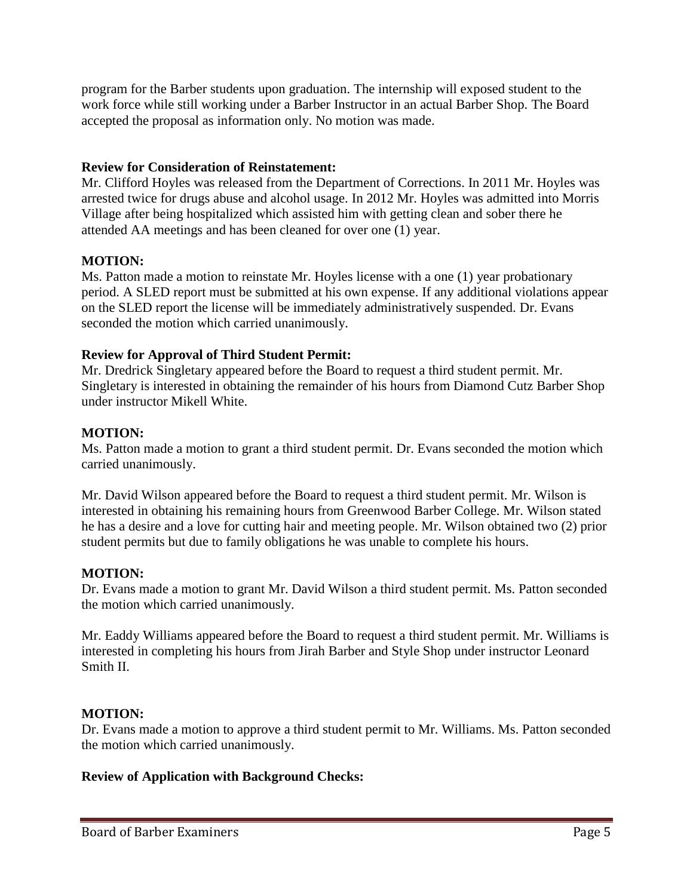program for the Barber students upon graduation. The internship will exposed student to the work force while still working under a Barber Instructor in an actual Barber Shop. The Board accepted the proposal as information only. No motion was made.

## **Review for Consideration of Reinstatement:**

Mr. Clifford Hoyles was released from the Department of Corrections. In 2011 Mr. Hoyles was arrested twice for drugs abuse and alcohol usage. In 2012 Mr. Hoyles was admitted into Morris Village after being hospitalized which assisted him with getting clean and sober there he attended AA meetings and has been cleaned for over one (1) year.

## **MOTION:**

Ms. Patton made a motion to reinstate Mr. Hoyles license with a one (1) year probationary period. A SLED report must be submitted at his own expense. If any additional violations appear on the SLED report the license will be immediately administratively suspended. Dr. Evans seconded the motion which carried unanimously.

## **Review for Approval of Third Student Permit:**

Mr. Dredrick Singletary appeared before the Board to request a third student permit. Mr. Singletary is interested in obtaining the remainder of his hours from Diamond Cutz Barber Shop under instructor Mikell White.

## **MOTION:**

Ms. Patton made a motion to grant a third student permit. Dr. Evans seconded the motion which carried unanimously.

Mr. David Wilson appeared before the Board to request a third student permit. Mr. Wilson is interested in obtaining his remaining hours from Greenwood Barber College. Mr. Wilson stated he has a desire and a love for cutting hair and meeting people. Mr. Wilson obtained two (2) prior student permits but due to family obligations he was unable to complete his hours.

# **MOTION:**

Dr. Evans made a motion to grant Mr. David Wilson a third student permit. Ms. Patton seconded the motion which carried unanimously.

Mr. Eaddy Williams appeared before the Board to request a third student permit. Mr. Williams is interested in completing his hours from Jirah Barber and Style Shop under instructor Leonard Smith II.

## **MOTION:**

Dr. Evans made a motion to approve a third student permit to Mr. Williams. Ms. Patton seconded the motion which carried unanimously.

## **Review of Application with Background Checks:**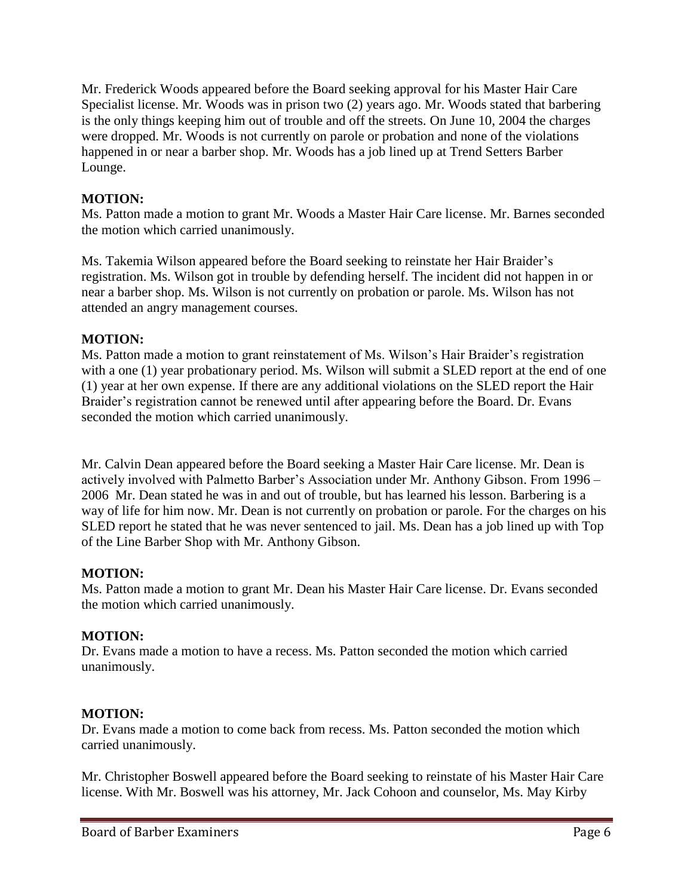Mr. Frederick Woods appeared before the Board seeking approval for his Master Hair Care Specialist license. Mr. Woods was in prison two (2) years ago. Mr. Woods stated that barbering is the only things keeping him out of trouble and off the streets. On June 10, 2004 the charges were dropped. Mr. Woods is not currently on parole or probation and none of the violations happened in or near a barber shop. Mr. Woods has a job lined up at Trend Setters Barber Lounge.

## **MOTION:**

Ms. Patton made a motion to grant Mr. Woods a Master Hair Care license. Mr. Barnes seconded the motion which carried unanimously.

Ms. Takemia Wilson appeared before the Board seeking to reinstate her Hair Braider's registration. Ms. Wilson got in trouble by defending herself. The incident did not happen in or near a barber shop. Ms. Wilson is not currently on probation or parole. Ms. Wilson has not attended an angry management courses.

## **MOTION:**

Ms. Patton made a motion to grant reinstatement of Ms. Wilson's Hair Braider's registration with a one (1) year probationary period. Ms. Wilson will submit a SLED report at the end of one (1) year at her own expense. If there are any additional violations on the SLED report the Hair Braider's registration cannot be renewed until after appearing before the Board. Dr. Evans seconded the motion which carried unanimously.

Mr. Calvin Dean appeared before the Board seeking a Master Hair Care license. Mr. Dean is actively involved with Palmetto Barber's Association under Mr. Anthony Gibson. From 1996 – 2006 Mr. Dean stated he was in and out of trouble, but has learned his lesson. Barbering is a way of life for him now. Mr. Dean is not currently on probation or parole. For the charges on his SLED report he stated that he was never sentenced to jail. Ms. Dean has a job lined up with Top of the Line Barber Shop with Mr. Anthony Gibson.

## **MOTION:**

Ms. Patton made a motion to grant Mr. Dean his Master Hair Care license. Dr. Evans seconded the motion which carried unanimously.

## **MOTION:**

Dr. Evans made a motion to have a recess. Ms. Patton seconded the motion which carried unanimously.

### **MOTION:**

Dr. Evans made a motion to come back from recess. Ms. Patton seconded the motion which carried unanimously.

Mr. Christopher Boswell appeared before the Board seeking to reinstate of his Master Hair Care license. With Mr. Boswell was his attorney, Mr. Jack Cohoon and counselor, Ms. May Kirby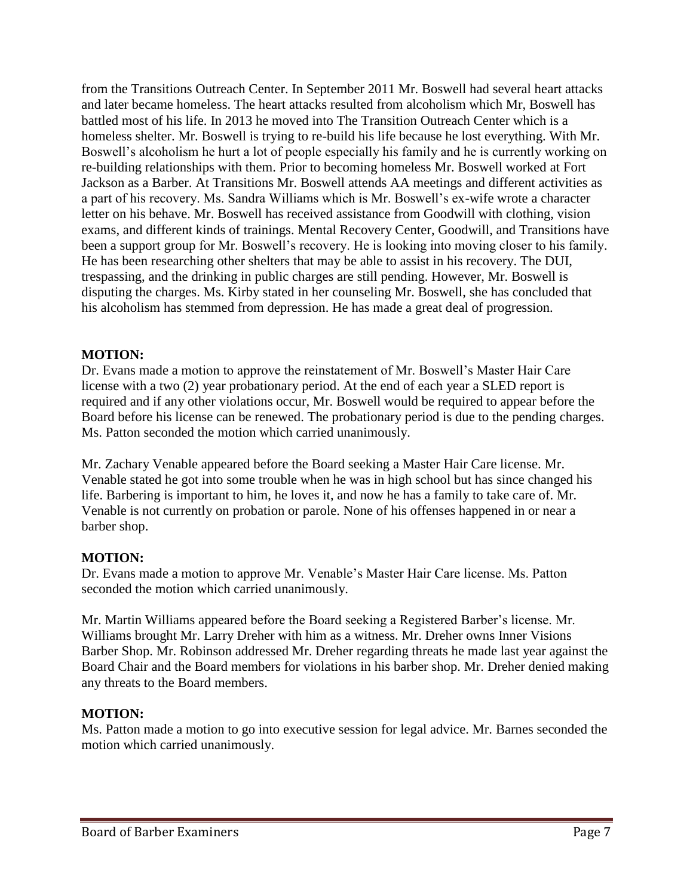from the Transitions Outreach Center. In September 2011 Mr. Boswell had several heart attacks and later became homeless. The heart attacks resulted from alcoholism which Mr, Boswell has battled most of his life. In 2013 he moved into The Transition Outreach Center which is a homeless shelter. Mr. Boswell is trying to re-build his life because he lost everything. With Mr. Boswell's alcoholism he hurt a lot of people especially his family and he is currently working on re-building relationships with them. Prior to becoming homeless Mr. Boswell worked at Fort Jackson as a Barber. At Transitions Mr. Boswell attends AA meetings and different activities as a part of his recovery. Ms. Sandra Williams which is Mr. Boswell's ex-wife wrote a character letter on his behave. Mr. Boswell has received assistance from Goodwill with clothing, vision exams, and different kinds of trainings. Mental Recovery Center, Goodwill, and Transitions have been a support group for Mr. Boswell's recovery. He is looking into moving closer to his family. He has been researching other shelters that may be able to assist in his recovery. The DUI, trespassing, and the drinking in public charges are still pending. However, Mr. Boswell is disputing the charges. Ms. Kirby stated in her counseling Mr. Boswell, she has concluded that his alcoholism has stemmed from depression. He has made a great deal of progression.

## **MOTION:**

Dr. Evans made a motion to approve the reinstatement of Mr. Boswell's Master Hair Care license with a two (2) year probationary period. At the end of each year a SLED report is required and if any other violations occur, Mr. Boswell would be required to appear before the Board before his license can be renewed. The probationary period is due to the pending charges. Ms. Patton seconded the motion which carried unanimously.

Mr. Zachary Venable appeared before the Board seeking a Master Hair Care license. Mr. Venable stated he got into some trouble when he was in high school but has since changed his life. Barbering is important to him, he loves it, and now he has a family to take care of. Mr. Venable is not currently on probation or parole. None of his offenses happened in or near a barber shop.

# **MOTION:**

Dr. Evans made a motion to approve Mr. Venable's Master Hair Care license. Ms. Patton seconded the motion which carried unanimously.

Mr. Martin Williams appeared before the Board seeking a Registered Barber's license. Mr. Williams brought Mr. Larry Dreher with him as a witness. Mr. Dreher owns Inner Visions Barber Shop. Mr. Robinson addressed Mr. Dreher regarding threats he made last year against the Board Chair and the Board members for violations in his barber shop. Mr. Dreher denied making any threats to the Board members.

## **MOTION:**

Ms. Patton made a motion to go into executive session for legal advice. Mr. Barnes seconded the motion which carried unanimously.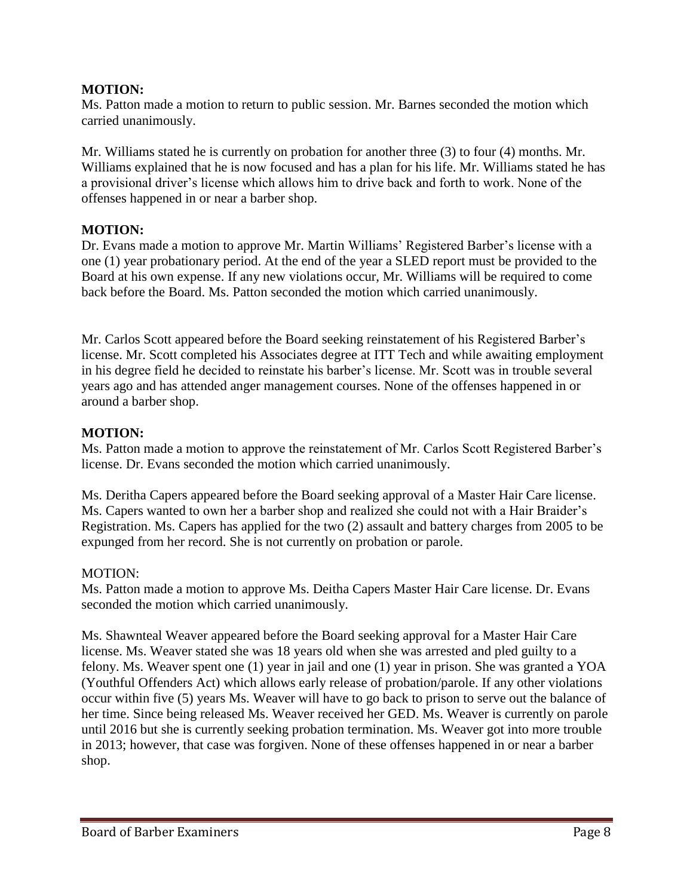Ms. Patton made a motion to return to public session. Mr. Barnes seconded the motion which carried unanimously.

Mr. Williams stated he is currently on probation for another three (3) to four (4) months. Mr. Williams explained that he is now focused and has a plan for his life. Mr. Williams stated he has a provisional driver's license which allows him to drive back and forth to work. None of the offenses happened in or near a barber shop.

### **MOTION:**

Dr. Evans made a motion to approve Mr. Martin Williams' Registered Barber's license with a one (1) year probationary period. At the end of the year a SLED report must be provided to the Board at his own expense. If any new violations occur, Mr. Williams will be required to come back before the Board. Ms. Patton seconded the motion which carried unanimously.

Mr. Carlos Scott appeared before the Board seeking reinstatement of his Registered Barber's license. Mr. Scott completed his Associates degree at ITT Tech and while awaiting employment in his degree field he decided to reinstate his barber's license. Mr. Scott was in trouble several years ago and has attended anger management courses. None of the offenses happened in or around a barber shop.

### **MOTION:**

Ms. Patton made a motion to approve the reinstatement of Mr. Carlos Scott Registered Barber's license. Dr. Evans seconded the motion which carried unanimously.

Ms. Deritha Capers appeared before the Board seeking approval of a Master Hair Care license. Ms. Capers wanted to own her a barber shop and realized she could not with a Hair Braider's Registration. Ms. Capers has applied for the two (2) assault and battery charges from 2005 to be expunged from her record. She is not currently on probation or parole.

### MOTION:

Ms. Patton made a motion to approve Ms. Deitha Capers Master Hair Care license. Dr. Evans seconded the motion which carried unanimously.

Ms. Shawnteal Weaver appeared before the Board seeking approval for a Master Hair Care license. Ms. Weaver stated she was 18 years old when she was arrested and pled guilty to a felony. Ms. Weaver spent one (1) year in jail and one (1) year in prison. She was granted a YOA (Youthful Offenders Act) which allows early release of probation/parole. If any other violations occur within five (5) years Ms. Weaver will have to go back to prison to serve out the balance of her time. Since being released Ms. Weaver received her GED. Ms. Weaver is currently on parole until 2016 but she is currently seeking probation termination. Ms. Weaver got into more trouble in 2013; however, that case was forgiven. None of these offenses happened in or near a barber shop.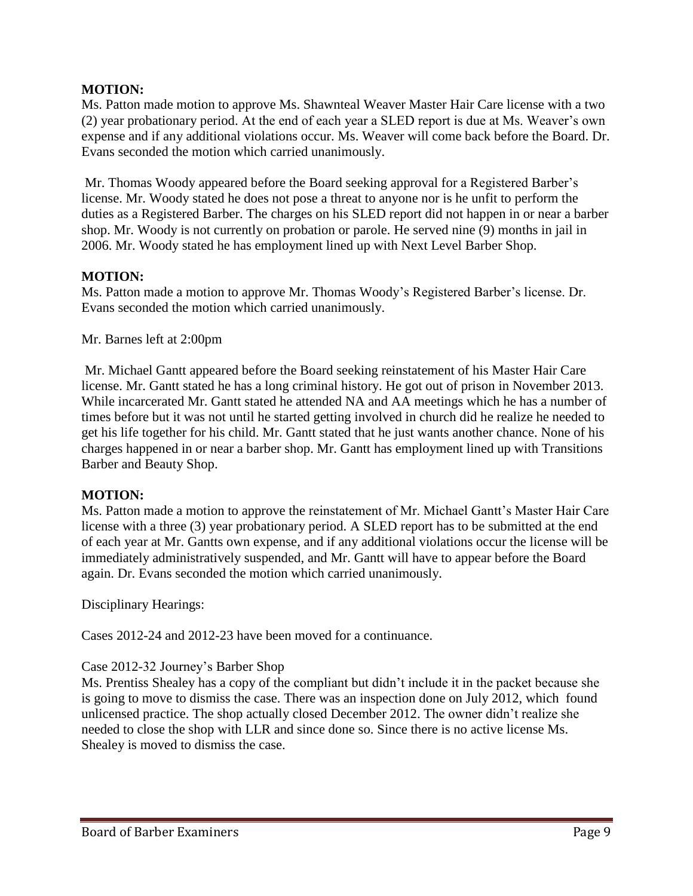Ms. Patton made motion to approve Ms. Shawnteal Weaver Master Hair Care license with a two (2) year probationary period. At the end of each year a SLED report is due at Ms. Weaver's own expense and if any additional violations occur. Ms. Weaver will come back before the Board. Dr. Evans seconded the motion which carried unanimously.

Mr. Thomas Woody appeared before the Board seeking approval for a Registered Barber's license. Mr. Woody stated he does not pose a threat to anyone nor is he unfit to perform the duties as a Registered Barber. The charges on his SLED report did not happen in or near a barber shop. Mr. Woody is not currently on probation or parole. He served nine (9) months in jail in 2006. Mr. Woody stated he has employment lined up with Next Level Barber Shop.

### **MOTION:**

Ms. Patton made a motion to approve Mr. Thomas Woody's Registered Barber's license. Dr. Evans seconded the motion which carried unanimously.

Mr. Barnes left at 2:00pm

Mr. Michael Gantt appeared before the Board seeking reinstatement of his Master Hair Care license. Mr. Gantt stated he has a long criminal history. He got out of prison in November 2013. While incarcerated Mr. Gantt stated he attended NA and AA meetings which he has a number of times before but it was not until he started getting involved in church did he realize he needed to get his life together for his child. Mr. Gantt stated that he just wants another chance. None of his charges happened in or near a barber shop. Mr. Gantt has employment lined up with Transitions Barber and Beauty Shop.

### **MOTION:**

Ms. Patton made a motion to approve the reinstatement of Mr. Michael Gantt's Master Hair Care license with a three (3) year probationary period. A SLED report has to be submitted at the end of each year at Mr. Gantts own expense, and if any additional violations occur the license will be immediately administratively suspended, and Mr. Gantt will have to appear before the Board again. Dr. Evans seconded the motion which carried unanimously.

Disciplinary Hearings:

Cases 2012-24 and 2012-23 have been moved for a continuance.

### Case 2012-32 Journey's Barber Shop

Ms. Prentiss Shealey has a copy of the compliant but didn't include it in the packet because she is going to move to dismiss the case. There was an inspection done on July 2012, which found unlicensed practice. The shop actually closed December 2012. The owner didn't realize she needed to close the shop with LLR and since done so. Since there is no active license Ms. Shealey is moved to dismiss the case.